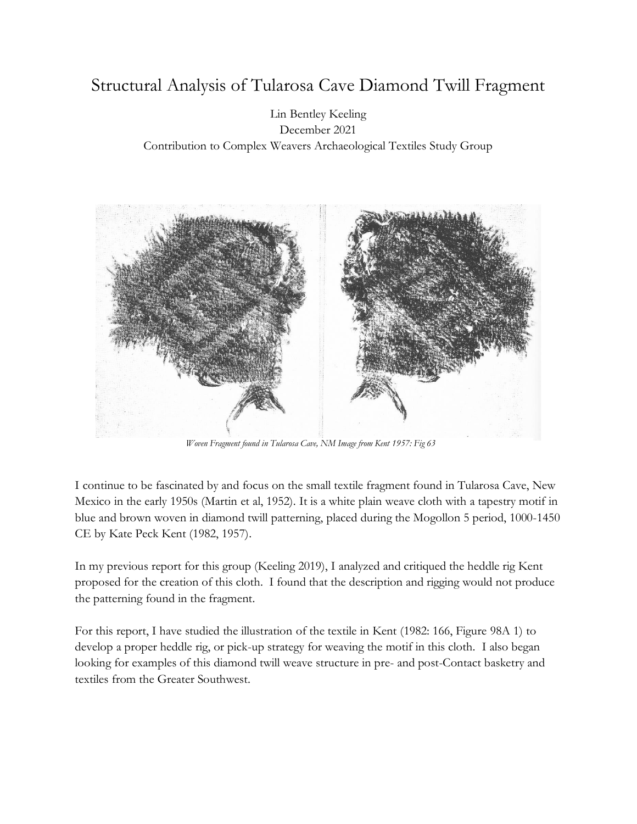# Structural Analysis of Tularosa Cave Diamond Twill Fragment

#### Lin Bentley Keeling December 2021 Contribution to Complex Weavers Archaeological Textiles Study Group



*Woven Fragment found in Tularosa Cave, NM Image from Kent 1957: Fig 63*

I continue to be fascinated by and focus on the small textile fragment found in Tularosa Cave, New Mexico in the early 1950s (Martin et al, 1952). It is a white plain weave cloth with a tapestry motif in blue and brown woven in diamond twill patterning, placed during the Mogollon 5 period, 1000-1450 CE by Kate Peck Kent (1982, 1957).

In my previous report for this group (Keeling 2019), I analyzed and critiqued the heddle rig Kent proposed for the creation of this cloth. I found that the description and rigging would not produce the patterning found in the fragment.

For this report, I have studied the illustration of the textile in Kent (1982: 166, Figure 98A 1) to develop a proper heddle rig, or pick-up strategy for weaving the motif in this cloth. I also began looking for examples of this diamond twill weave structure in pre- and post-Contact basketry and textiles from the Greater Southwest.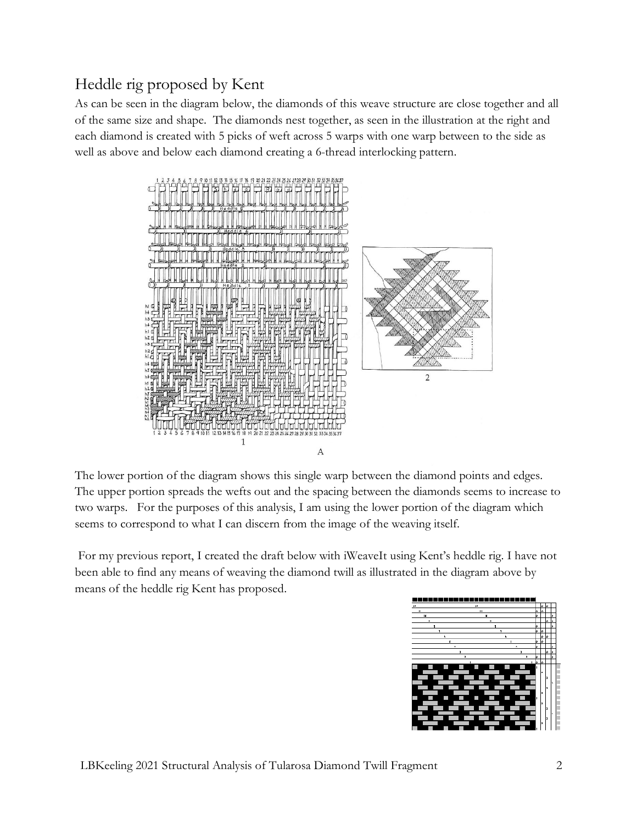## Heddle rig proposed by Kent

As can be seen in the diagram below, the diamonds of this weave structure are close together and all of the same size and shape. The diamonds nest together, as seen in the illustration at the right and each diamond is created with 5 picks of weft across 5 warps with one warp between to the side as well as above and below each diamond creating a 6-thread interlocking pattern.



The lower portion of the diagram shows this single warp between the diamond points and edges. The upper portion spreads the wefts out and the spacing between the diamonds seems to increase to two warps. For the purposes of this analysis, I am using the lower portion of the diagram which seems to correspond to what I can discern from the image of the weaving itself.

For my previous report, I created the draft below with iWeaveIt using Kent's heddle rig. I have not been able to find any means of weaving the diamond twill as illustrated in the diagram above by means of the heddle rig Kent has proposed.

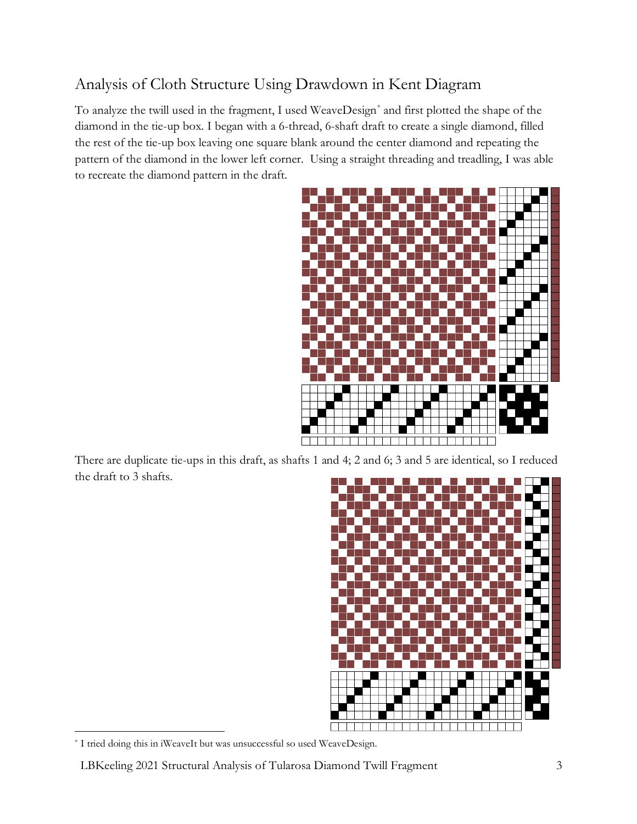## Analysis of Cloth Structure Using Drawdown in Kent Diagram

To analyze the twill used in the fragment, I used WeaveDesign\* and first plotted the shape of the diamond in the tie-up box. I began with a 6-thread, 6-shaft draft to create a single diamond, filled the rest of the tie-up box leaving one square blank around the center diamond and repeating the pattern of the diamond in the lower left corner. Using a straight threading and treadling, I was able to recreate the diamond pattern in the draft.



There are duplicate tie-ups in this draft, as shafts 1 and 4; 2 and 6; 3 and 5 are identical, so I reduced the draft to 3 shafts.



<sup>\*</sup> I tried doing this in iWeaveIt but was unsuccessful so used WeaveDesign.

LBKeeling 2021 Structural Analysis of Tularosa Diamond Twill Fragment 3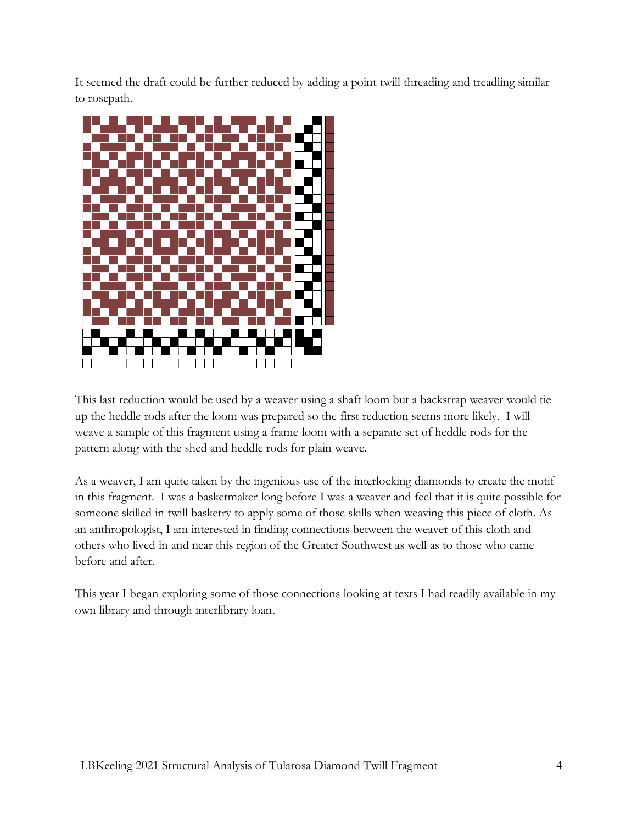It seemed the draft could be further reduced by adding a point twill threading and treadling similar to rosepath.



This last reduction would be used by a weaver using a shaft loom but a backstrap weaver would tie up the heddle rods after the loom was prepared so the first reduction seems more likely. I will weave a sample of this fragment using a frame loom with a separate set of heddle rods for the pattern along with the shed and heddle rods for plain weave.

As a weaver, I am quite taken by the ingenious use of the interlocking diamonds to create the motif in this fragment. I was a basketmaker long before I was a weaver and feel that it is quite possible for someone skilled in twill basketry to apply some of those skills when weaving this piece of cloth. As an anthropologist, I am interested in finding connections between the weaver of this cloth and others who lived in and near this region of the Greater Southwest as well as to those who came before and after.

This year I began exploring some of those connections looking at texts I had readily available in my own library and through interlibrary loan.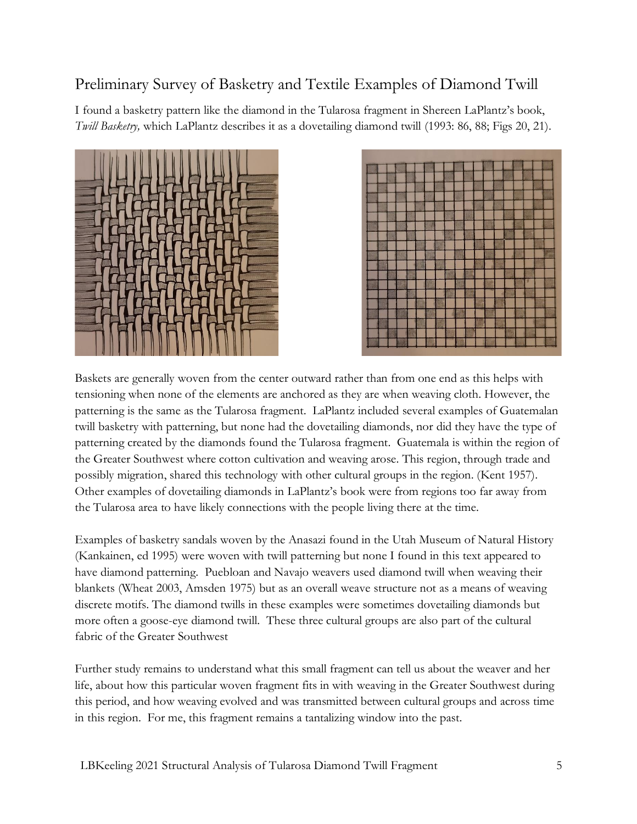#### Preliminary Survey of Basketry and Textile Examples of Diamond Twill

I found a basketry pattern like the diamond in the Tularosa fragment in Shereen LaPlantz's book, *Twill Basketry,* which LaPlantz describes it as a dovetailing diamond twill (1993: 86, 88; Figs 20, 21).





Baskets are generally woven from the center outward rather than from one end as this helps with tensioning when none of the elements are anchored as they are when weaving cloth. However, the patterning is the same as the Tularosa fragment. LaPlantz included several examples of Guatemalan twill basketry with patterning, but none had the dovetailing diamonds, nor did they have the type of patterning created by the diamonds found the Tularosa fragment. Guatemala is within the region of the Greater Southwest where cotton cultivation and weaving arose. This region, through trade and possibly migration, shared this technology with other cultural groups in the region. (Kent 1957). Other examples of dovetailing diamonds in LaPlantz's book were from regions too far away from the Tularosa area to have likely connections with the people living there at the time.

Examples of basketry sandals woven by the Anasazi found in the Utah Museum of Natural History (Kankainen, ed 1995) were woven with twill patterning but none I found in this text appeared to have diamond patterning. Puebloan and Navajo weavers used diamond twill when weaving their blankets (Wheat 2003, Amsden 1975) but as an overall weave structure not as a means of weaving discrete motifs. The diamond twills in these examples were sometimes dovetailing diamonds but more often a goose-eye diamond twill. These three cultural groups are also part of the cultural fabric of the Greater Southwest

Further study remains to understand what this small fragment can tell us about the weaver and her life, about how this particular woven fragment fits in with weaving in the Greater Southwest during this period, and how weaving evolved and was transmitted between cultural groups and across time in this region. For me, this fragment remains a tantalizing window into the past.